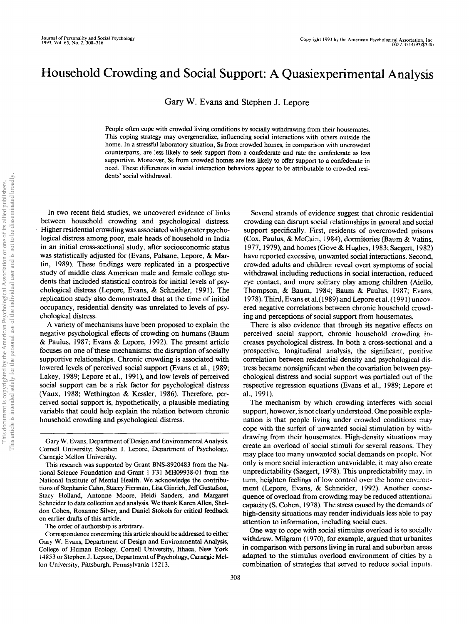# Household Crowding and Social Support: A Quasiexperimental Analysis

Gary W. Evans and Stephen J. Lepore

People often cope with crowded living conditions by socially withdrawing from their housemates. This coping strategy may overgeneralize, influencing social interactions with others outside the home. In a stressful laboratory situation, Ss from crowded homes, in comparison with uncrowded counterparts, are less likely to seek support from a confederate and rate the confederate as less supportive. Moreover, Ss from crowded homes are less likely to offer support to a confederate in need. These differences in social interaction behaviors appear to be attributable to crowded residents' social withdrawal.

In two recent field studies, we uncovered evidence of links between household crowding and psychological distress. Higher residential crowding was associated with greater psychological distress among poor, male heads of household in India in an initial cross-sectional study, after socioeconomic status was statistically adjusted for (Evans, Palsane, Lepore, & Martin, 1989). These findings were replicated in a prospective study of middle class American male and female college students that included statistical controls for initial levels of psychological distress (Lepore, Evans, & Schneider, 1991). The replication study also demonstrated that at the time of initial occupancy, residential density was unrelated to levels of psychological distress.

A variety of mechanisms have been proposed to explain the negative psychological effects of crowding on humans (Baum & Paulus, 1987; Evans & Lepore, 1992). The present article focuses on one of these mechanisms: the disruption of socially supportive relationships. Chronic crowding is associated with lowered levels of perceived social support (Evans et al., 1989; Lakey, 1989; Lepore et al., 1991), and low levels of perceived social support can be a risk factor for psychological distress (Vaux, 1988; Wethington & Kessler, 1986). Therefore, perceived social support is, hypothetically, a plausible mediating variable that could help explain the relation between chronic household crowding and psychological distress.

The order of authorship is arbitrary.

Correspondence concerning this article should be addressed to either Gary W. Evans, Department of Design and Environmental Analysis, College of Human Ecology, Cornell University, Ithaca, New York 14853 or Stephen J. Lepore, Department of Psychology, Carnegie Melton University, Pittsburgh, Pennsylvania 15213.

Several strands of evidence suggest that chronic residential crowding can disrupt social relationships in general and social support specifically. First, residents of overcrowded prisons (Cox, Paulus, & McCain, 1984), dormitories (Baum & Valins, 1977, 1979), and homes (Gove & Hughes, 1983; Saegert, 1982) have reported excessive, unwanted social interactions. Second, crowded adults and children reveal overt symptoms of social withdrawal including reductions in social interaction, reduced eye contact, and more solitary play among children (Aiello, Thompson, & Baum, 1984; Baum & Paulus, 1987; Evans, 1978). Third, Evans et al.( 1989) and Lepore et al. (1991) uncovered negative correlations between chronic household crowding and perceptions of social support from housemates.

There is also evidence that through its negative effects on perceived social support, chronic household crowding increases psychological distress. In both a cross-sectional and a prospective, longitudinal analysis, the significant, positive correlation between residential density and psychological distress became nonsignificant when the covariation between psychological distress and social support was partialed out of the respective regression equations (Evans et al., 1989; Lepore et al, 1991).

The mechanism by which crowding interferes with social support, however, is not clearly understood. One possible explanation is that people living under crowded conditions may cope with the surfeit of unwanted social stimulation by withdrawing from their housemates. High-density situations may create an overload of social stimuli for several reasons. They may place too many unwanted social demands on people. Not only is more social interaction unavoidable, it may also create unpredictability (Saegert, 1978). This unpredictability may, in turn, heighten feelings of low control over the home environment (Lepore, Evans, & Schneider, 1992). Another consequence of overload from crowding may be reduced attentional capacity (S. Cohen, 1978). The stress caused by the demands of high-density situations may render individuals less able to pay attention to information, including social cues.

One way to cope with social stimulus overload is to socially withdraw. Milgram (1970), for example, argued that urbanites in comparison with persons living in rural and suburban areas adapted to the stimulus overload environment of cities by a combination of strategies that served to reduce social inputs.

Gary W. Evans, Department of Design and Environmental Analysis, Cornell University; Stephen J. Lepore, Department of Psychology, Carnegie Mellon University.

This research was supported by Grant BNS-8920483 from the National Science Foundation and Grant 1 F31 MH09938-01 from the National Institute of Mental Health. We acknowledge the contributions of Stephanie Cahn, Stacey Fierman, Lisa Ginrich, Jeff Gustafson, Stacy Holland, Antonne Moore, Heidi Sanders, and Margaret Schneider to data collection and analysis. We thank Karen Allen, Sheldon Cohen, Roxanne Silver, and Daniel Stokols for critical feedback on earlier drafts of this article.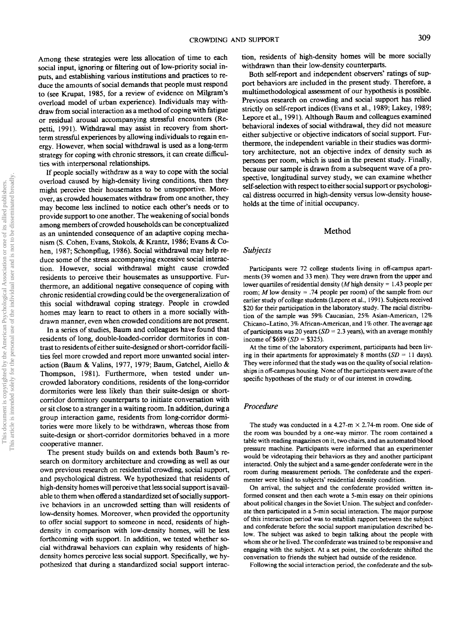Among these strategies were less allocation of time to each social input, ignoring or filtering out of low-priority social inputs, and establishing various institutions and practices to reduce the amounts of social demands that people must respond to (see Krupat, 1985, for a review of evidence on Milgram's overload model of urban experience). Individuals may withdraw from social interaction as a method of coping with fatigue or residual arousal accompanying stressful encounters (Repetti, 1991). Withdrawal may assist in recovery from shortterm stressful experiences by allowing individuals to regain energy. However, when social withdrawal is used as a long-term strategy for coping with chronic stressors, it can create difficulties with interpersonal relationships.

If people socially withdraw as a way to cope with the Social overload caused by high-density living conditions, then they might perceive their housemates to be unsupportive. Moreover, as crowded housemates withdraw from one another, they may become less inclined to notice each other's needs or to provide support to one another. The weakening of social bonds among members of crowded households can be conceptualized as an unintended consequence of an adaptive coping mechanism (S. Cohen, Evans, Stokols, & Krantz, 1986; Evans & Cohen, 1987; Schonpflug, 1986). Social withdrawal may help reduce some of the stress accompanying excessive social interaction. However, social withdrawal might cause crowded residents to perceive their housemates as unsupportive. Furthermore, an additional negative consequence of coping with chronic residential crowding could be the overgeneralization of this social withdrawal coping strategy. People in crowded homes may learn to react to others in a more socially withdrawn manner, even when crowded conditions are not present.

In a series of studies, Baum and colleagues have found that residents of long, double-loaded-corridor dormitories in contrast to residents of either suite-designed or short-corridor facilities feel more crowded and report more unwanted social interaction (Baum & Valins, 1977, 1979; Baum, Gatchel, Aiello & Thompson, 1981). Furthermore, when tested under uncrowded laboratory conditions, residents of the long-corridor dormitories were less likely than their suite-design or shortcorridor dormitory counterparts to initiate conversation with or sit close to a stranger in a waiting room. In addition, during a group interaction game, residents from long-corridor dormitories were more likely to be withdrawn, whereas those from suite-design or short-corridor dormitories behaved in a more cooperative manner.

The present study builds on and extends both Baum's research on dormitory architecture and crowding as well as our own previous research on residential crowding, social support, and psychological distress. We hypothesized that residents of high-density homes will perceive that less social support is available to them when offered a standardized set of socially supportive behaviors in an uncrowded setting than will residents of low-density homes. Moreover, when provided the opportunity to offer social support to someone in need, residents of highdensity in comparison with low-density homes, will be less forthcoming with support. In addition, we tested whether social withdrawal behaviors can explain why residents of highdensity homes perceive less social support. Specifically, we hypothesized that during a standardized social support interaction, residents of high-density homes will be more socially withdrawn than their low-density counterparts.

Both self-report and independent observers' ratings of support behaviors are included in the present study. Therefore, a multimethodological assessment of our hypothesis is possible. Previous research on crowding and social support has relied strictly on self-report indices (Evans et al., 1989; Lakey, 1989; Lepore et al., 1991). Although Baum and colleagues examined behavioral indexes of social withdrawal, they did not measure either subjective or objective indicators of social support. Furthermore, the independent variable in their studies was dormitory architecture, not an objective index of density such as persons per room, which is used in the present study. Finally, because our sample is drawn from a subsequent wave of a prospective, longitudinal survey study, we can examine whether self-selection with respect to either social support or psychological distress occurred in high-density versus low-density households at the time of initial occupancy.

#### Method

#### *Subjects*

Participants were 72 college students living in off-campus apartments (39 women and 33 men). They were drawn from the upper and lower quartiles of residential density (M high density = 1.43 people per room; *M* low density = .74 people per room) of the sample from our earlier study of college students (Lepore et al., 1991). Subjects received \$20 for their participation in the laboratory study. The racial distribution of the sample was 59% Caucasian, 25% Asian-American, 12% Chicano-Latino, 3% African-American, and 1% other. The average age of participants was 20 years ( $SD = 2.3$  years), with an average monthly income of \$689 *(SD =* \$325).

At the time of the laboratory experiment, participants had been living in their apartments for approximately 8 months  $(SD = 11 \text{ days})$ . They were informed that the study was on the quality of social relationships in off-campus housing. None of the participants were aware of the specific hypotheses of the study or of our interest in crowding.

## *Procedure*

The study was conducted in a 4.27-m  $\times$  2.74-m room. One side of the room was bounded by a one-way mirror. The room contained a table with reading magazines on it, two chairs, and an automated blood pressure machine. Participants were informed that an experimenter would be videotaping their behaviors as they and another participant interacted. Only the subject and a same-gender confederate were in the room during measurement periods. The confederate and the experimenter were blind to subjects' residential density condition.

On arrival, the subject and the confederate provided written informed consent and then each wrote a 5-min essay on their opinions about political changes in the Soviet Union. The subject and confederate then participated in a 5-min social interaction. The major purpose of this interaction period was to establish rapport between the subject and confederate before the social support manipulation described below. The subject was asked to begin talking about the people with whom she or he lived. The confederate was trained to be responsive and engaging with the subject. At a set point, the confederate shifted the conversation to friends the subject had outside of the residence.

Following the social interaction period, the confederate and the sub-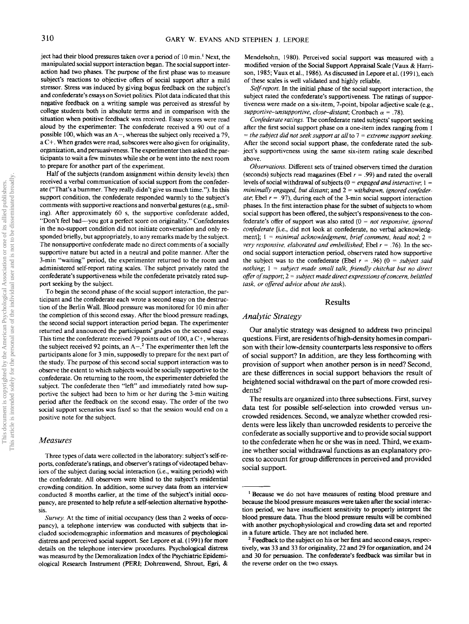ject had their blood pressures taken over a period of 10 min.' Next, the manipulated social support interaction began. The social support interaction had two phases. The purpose of the first phase was to measure subject's reactions to objective offers of social support after a mild stressor. Stress was induced by giving bogus feedback on the subject's and confederate's essays on Soviet politics. Pilot data indicated that this negative feedback on a writing sample was perceived as stressful by college students both in absolute terms and in comparison with the situation when positive feedback was received. Essay scores were read aloud by the experimenter: The confederate received a 90 out of a possible 100, which was an  $A-$ , whereas the subject only received a 79, a C+. When grades were read, subscores were also given for originality, organization, and persuasiveness. The experimenter then asked the participants to wait a few minutes while she or he went into the next room to prepare for another part of the experiment.

Half of the subjects (random assignment within density levels) then received a verbal communication of social support from the confederate ("That's a bummer. They really didn't give us much time."). In this support condition, the confederate responded warmly to the subject's comments with supportive reactions and nonverbal gestures (e.g., smiling). After approximately 60 s, the supportive confederate added, "Don't feel bad—you got a perfect score on originality." Confederates in the no-support condition did not initiate conversation and only responded briefly, but appropriately, to any remarks made by the subject. The nonsupportive confederate made no direct comments of a socially supportive nature but acted in a neutral and polite manner. After the 3-min "waiting" period, the experimenter returned to the room and administered self-report rating scales. The subject privately rated the confederate's supportiveness while the confederate privately rated support seeking by the subject.

To begin the second phase of the social support interaction, the participant and the confederate each wrote a second essay on the destruction of the Berlin Wall. Blood pressure was monitored for 10 min after the completion of this second essay. After the blood pressure readings, the second social support interaction period began. The experimenter returned and announced the participants' grades on the second essay. This time the confederate received 79 points out of 100, a C+, whereas the subject received 92 points, an  $A^{-2}$  The experimenter then left the participants alone for 3 min, supposedly to prepare for the next part of the study. The purpose of this second social support interaction was to observe the extent to which subjects would be socially supportive to the confederate. On returning to the room, the experimenter debriefed the subject. The confederate then "left" and immediately rated how supportive the subject had been to him or her during the 3-min waiting period after the feedback on the second essay. The order of the two social support scenarios was fixed so that the session would end on a positive note for the subject.

#### *Measures*

Three types of data were collected in the laboratory: subject's self-reports, confederate's ratings, and observer's ratings of videotaped behaviors of the subject during social interaction (i.e., waiting periods) with the confederate. All observers were blind to the subject's residential crowding condition. In addition, some survey data from an interview conducted 8 months earlier, at the time of the subject's initial occupancy, are presented to help refute a self-selection alternative hypothesis.

Mendelsohn, 1980). Perceived social support was measured with a modified version of the Social Support Appraisal Scale (Vaux & Harrison, 1985; Vaux et al., 1986). As discussed in Lepore et al. (1991), each of these scales is well validated and highly reliable.

*Self-report.* In the initial phase of the social support interaction, the subject rated the confederate's supportiveness. The ratings of supportiveness were made on a six-item, 7-point, bipolar adjective scale (e.g., *supportive-unsupportive, close-distant;* Cronbach  $\alpha$  = .78).

*Confederate ratings.* The confederate rated subjects' support seeking after the first social support phase on a one-item index ranging from 1 = *the subject did not seek support at all* to 7 = *extreme support seeking.* After the second social support phase, the confederate rated the subject's supportiveness using the same six-item rating scale described above.

*Observations.* Different sets of trained observers timed the duration (seconds) subjects read magazines (Ebel *r =* .99) and rated the overall levels of social withdrawal of subjects (0 = *engaged and interactive;* 1 = *minimally engaged, but distant;* and 2 = *withdrawn, ignored confederate*, Ebel  $r = .97$ , during each of the 3-min social support interaction phases. In the first interaction phase for the subset of subjects to whom social support has been offered, the subject's responsiveness to the confederate's offer of support was also rated (0 = *not responsive, ignored confederate* [i.e., did not look at confederate, no verbal acknowledgment]; 1 = *minimal acknowledgment, brief comment, head nod; 2 = very responsive, elaborated and embellished;* Ebel  $r = .76$ ). In the second social support interaction period, observers rated how supportive the subject was to the confederate (Ebel  $r = .96$ ) (0 = *subject said nothing;* 1 = *subject made small talk, friendly chitchat but no direct offer of support; 2 - subject made direct expressions of concern, belittled task, or offered advice about the task).*

# Results

# *Analytic Strategy*

Our analytic strategy was designed to address two principal questions. First, are residents of high-density homes in comparison with their low-density counterparts less responsive to offers of social support? In addition, are they less forthcoming with provision of support when another person is in need? Second, are these differences in social support behaviors the result of heightened social withdrawal on the part of more crowded residents?

The results are organized into three subsections. First, survey data test for possible self-selection into crowded versus uncrowded residences. Second, we analyze whether crowded residents were less likely than uncrowded residents to perceive the confederate as socially supportive and to provide social support to the confederate when he or she was in need. Third, we examine whether social withdrawal functions as an explanatory process to account for group differences in perceived and provided social support.

*Survey.* At the time of initial occupancy (less than 2 weeks of occupancy), a telephone interview was conducted with subjects that included sociodemographic information and measures of psychological distress and perceived social support. See Lepore et al. (1991) for more details on the telephone interview procedures. Psychological distress was measured by the Demoralization Index of the Psychiatric Epidemiological Research Instrument (PERI; Dohrenwend, Shrout, Egri, &

<sup>&</sup>lt;sup>1</sup> Because we do not have measures of resting blood pressure and because the blood pressure measures were taken after the social interaction period, we have insufficient sensitivity to properly interpret the blood pressure data. Thus the blood pressure results will be combined with another psychophysiological and crowding data set and reported in a future article. They are not included here.

<sup>&</sup>lt;sup>2</sup> Feedback to the subject on his or her first and second essays, respectively, was 33 and 33 for originality, 22 and 29 for organization, and 24 and 30 for persuasion. The confederate's feedback was similar but in the reverse order on the two essays.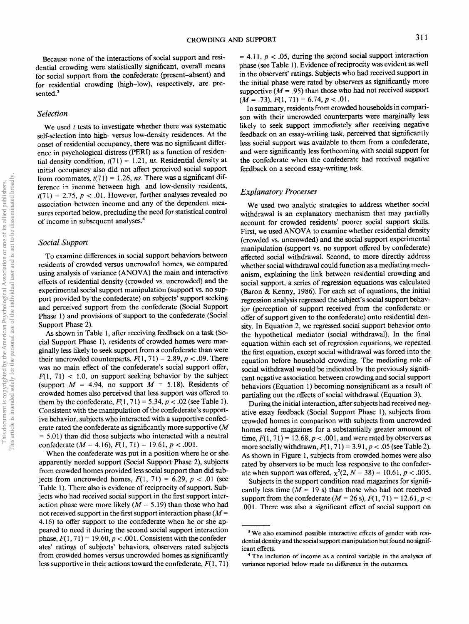Because none of the interactions of social support and residential crowding were statistically significant, overall means for social support from the confederate (present-absent) and for residential crowding (high-low), respectively, are presented.<sup>3</sup>

#### *Selection*

We used *t* tests to investigate whether there was systematic self-selection into high- versus low-density residences. At the onset of residential occupancy, there was no significant difference in psychological distress (PERI) as a function of residential density condition,  $t(71) = 1.21$ , *ns.* Residential density at initial occupancy also did not affect perceived social support from roommates,  $t(71) = 1.26$ , *ns*. There was a significant difference in income between high- and low-density residents,  $r(71) = 2.75$ ,  $p < .01$ . However, further analyses revealed no association between income and any of the dependent measures reported below, precluding the need for statistical control of income in subsequent analyses.<sup>4</sup>

# *Social Support*

To examine differences in social support behaviors between residents of crowded versus uncrowded homes, we compared using analysis of variance (ANOVA) the main and interactive effects of residential density (crowded vs. uncrowded) and the experimental social support manipulation (support vs. no support provided by the confederate) on subjects' support seeking and perceived support from the confederate (Social Support Phase 1) and provisions of support to the confederate (Social Support Phase 2).

As shown in Table 1, after receiving feedback on a task (Social Support Phase 1), residents of crowded homes were marginally less likely to seek support from a confederate than were their uncrowded counterparts,  $F(1, 71) = 2.89$ ,  $p < .09$ . There was no main effect of the confederate's social support offer,  $F(1, 71)$  < 1.0, on support seeking behavior by the subject (support *M =* 4.94, no support *M =* 5.18). Residents of crowded homes also perceived that less support was offered to them by the confederate,  $F(1, 71) = 5.34$ ,  $p < .02$  (see Table 1). Consistent with the manipulation of the confederate's supportive behavior, subjects who interacted with a supportive confederate rated the confederate as significantly more supportive (M  $= 5.01$ ) than did those subjects who interacted with a neutral confederate *(M =* 4.16), F(l, 71) = 19.61, *p <* .001.

When the confederate was put in a position where he or she apparently needed support (Social Support Phase 2), subjects from crowded homes provided less social support than did subjects from uncrowded homes,  $F(1, 71) = 6.29$ ,  $p < .01$  (see Table 1). There also is evidence of reciprocity of support. Subjects who had received social support in the first support interaction phase were more likely *(M =* 5.19) than those who had not received support in the first support interaction phase *(M =* 4.16) to offer support to the confederate when he or she appeared to need it during the second social support interaction phase,  $F(1, 71) = 19.60$ ,  $p < .001$ . Consistent with the confederates' ratings of subjects' behaviors, observers rated subjects from crowded homes versus uncrowded homes as significantly less supportive in their actions toward the confederate,  $F(1, 71)$ 

 $= 4.11, p < .05$ , during the second social support interaction phase (see Table 1). Evidence of reciprocity was evident as well in the observers' ratings. Subjects who had received support in the initial phase were rated by observers as significantly more supportive  $(M = .95)$  than those who had not received support  $(M = .73), F(1, 71) = 6.74, p < .01.$ 

In summary, residents from crowded households in comparison with their uncrowded counterparts were marginally less likely to seek support immediately after receiving negative feedback on an essay-writing task, perceived that significantly less social support was available to them from a confederate, and were significantly less forthcoming with social support for the confederate when the confederate had received negative feedback on a second essay-writing task.

## *Explanatory Processes*

We used two analytic strategies to address whether social withdrawal is an explanatory mechanism that may partially account for crowded residents' poorer social support skills. First, we used ANOVA to examine whether residential density (crowded vs. uncrowded) and the social support experimental manipulation (support vs. no support offered by confederate) affected social withdrawal. Second, to more directly address whether social withdrawal could function as a mediating mechanism, explaining the link between residential crowding and social support, a series of regression equations was calculated (Baron & Kenny, 1986). For each set of equations, the initial regression analysis regressed the subject's social support behavior (perception of support received from the confederate or offer of support given to the confederate) onto residential density. In Equation 2, we regressed social support behavior onto the hypothetical mediator (social withdrawal). In the final equation within each set of regression equations, we repeated the first equation, except social withdrawal was forced into the equation before household crowding. The mediating role of social withdrawal would be indicated by the previously significant negative association between crowding and social support behaviors (Equation 1) becoming nonsignificant as a result of partialing out the effects of social withdrawal (Equation 3).

During the initial interaction, after subjects had received negative essay feedback (Social Support Phase 1), subjects from crowded homes in comparison with subjects from uncrowded homes read magazines for a substantially greater amount of time,  $F(1, 71) = 12.68$ ,  $p < .001$ , and were rated by observers as more socially withdrawn,  $F(1, 71) = 3.91$ ,  $p < .05$  (see Table 2). As shown in Figure 1, subjects from crowded homes were also rated by observers to be much less responsive to the confederate when support was offered,  $\chi^2(2, N = 38) = 10.61, p < .005$ .

Subjects in the support condition read magazines for significantly less time  $(M = 19 s)$  than those who had not received support from the confederate  $(M = 26 \text{ s})$ ,  $F(1, 71) = 12.61$ ,  $p <$ .001. There was also a significant effect of social support on

<sup>&</sup>lt;sup>3</sup> We also examined possible interactive effects of gender with residential density and the social support manipulation but found no significant effects.

<sup>&</sup>lt;sup>4</sup> The inclusion of income as a control variable in the analyses of variance reported below made no difference in the outcomes.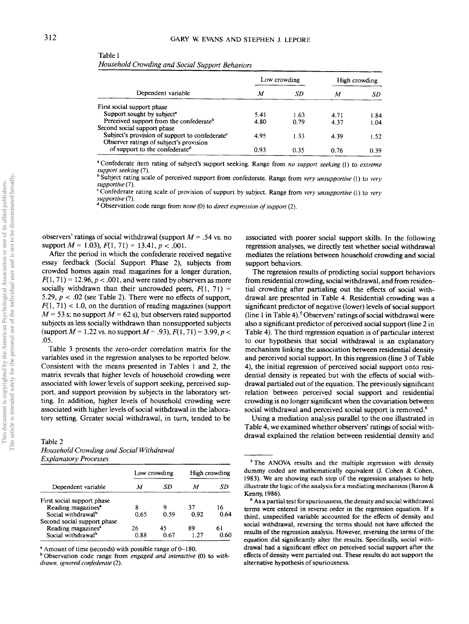| I<br>I | I |
|--------|---|

Table 1

|                                                            |      | Low crowding | High crowding |      |  |
|------------------------------------------------------------|------|--------------|---------------|------|--|
| Dependent variable                                         | М    | SD           | М             | SD   |  |
| First social support phase                                 |      |              |               |      |  |
| Support sought by subject <sup>a</sup>                     | 5.41 | 1.63         | 4.71          | 1.84 |  |
| Perceived support from the confederate <sup>b</sup>        | 4.80 | 0.79         | 4.37          | 1.04 |  |
| Second social support phase                                |      |              |               |      |  |
| Subject's provision of support to confederate <sup>c</sup> | 4.95 | 1.33         | 4.39          | 1.52 |  |
| Observer ratings of subject's provision                    |      |              |               |      |  |
| of support to the confederate <sup>d</sup>                 | 0.93 | 0.35         | 0.76          | 0.39 |  |

"Confederate item rating of subject's support seeking. Range from *no support seeking* (1) to *extreme support seeking* (7).

<sup>o</sup> Subject rating scale of perceived support from confederate. Range from *very unsupportive* (1) to *very* 

*supportive* (7). 'Confederate rating scale of provision of support by subject. Range from *very unsupportive* (1) to *very*

*supportive* (7). d Observation code range from *none* (0) to *direct expression of support* (2).

*Household Crowding and Social Support Behaviors*

observers' ratings of social withdrawal (support *M =* .54 vs. no support  $M = 1.03$ ,  $F(1, 71) = 13.41$ ,  $p < .001$ .

After the period in which the confederate received negative essay feedback (Social Support Phase 2), subjects from crowded homes again read magazines for a longer duration,  $F(1, 71) = 12.96, p < .001$ , and were rated by observers as more socially withdrawn than their uncrowded peers,  $F(1, 71) =$ 5.29, *p <* .02 (see Table 2). There were no effects of support,  $F(1, 71)$  < 1.0, on the duration of reading magazines (support  $M = 53$  s; no support  $M = 62$  s), but observers rated supported subjects as less socially withdrawn than nonsupported subjects (support  $M = 1.22$  vs. no support  $M = .93$ ),  $F(1, 71) = 3.99$ ,  $p <$ .05.

Table 3 presents the zero-order correlation matrix for the variables used in the regression analyses to be reported below. Consistent with the means presented in Tables 1 and 2, the matrix reveals that higher levels of household crowding were associated with lower levels of support seeking, perceived support, and support provision by subjects in the laboratory setting. In addition, higher levels of household crowding were associated with higher levels of social withdrawal in the laboratory setting. Greater social withdrawal, in turn, tended to be

#### Table 2

| Household Crowding and Social Withdrawal |  |
|------------------------------------------|--|
| <b>Explanatory Processes</b>             |  |

|                                |      | Low crowding | High crowding |      |  |
|--------------------------------|------|--------------|---------------|------|--|
| Dependent variable             | М    | SD           | м             | SD   |  |
| First social support phase     |      |              |               |      |  |
| Reading magazines <sup>a</sup> | 8    | Q            | 37            | 16   |  |
| Social withdrawal <sup>b</sup> | 0.65 | 0.59         | 0.92          | 0.64 |  |
| Second social support phase    |      |              |               |      |  |
| Reading magazines <sup>a</sup> | 26   | 45           | 89            | 61   |  |
| Social withdrawal <sup>b</sup> | 0.88 | 0.67         | 1.27          | 0.60 |  |

<sup>2</sup> Amount of time (seconds) with possible range of 0–180.

b Observation code range from *engaged and interactive* (0) to *withdrawn, ignored confederate* (2).

associated with poorer social support skills. In the following regression analyses, we directly test whether social withdrawal mediates the relations between household crowding and social support behaviors.

The regression results of predicting social support behaviors from residential crowding, social withdrawal, and from residential crowding after partialing out the effects of social withdrawal are presented in Table 4. Residential crowding was a significant predictor of negative (lower) levels of social support (line 1 in Table 4).<sup>5</sup> Observers' ratings of social withdrawal were also a significant predictor of perceived social support (line 2 in Table 4). The third regression equation is of particular interest to our hypothesis that social withdrawal is an explanatory mechanism linking the association between residential density and perceived social support. In this regression (line 3 of Table 4), the initial regression of perceived social support onto residential density is repeated but with the effects of social withdrawal partialed out of the equation. The previously significant relation between perceived social support and residential crowding is no longer significant when the covariation between social withdrawal and perceived social support is removed.<sup>6</sup>

Using a mediation analysis parallel to the one illustrated in Table 4, we examined whether observers' ratings of social withdrawal explained the relation between residential density and

<sup>&</sup>lt;sup>5</sup> The ANOVA results and the multiple regression with density dummy coded are mathematically equivalent (J. Cohen & Cohen, 1983). We are showing each step of the regression analyses to help illustrate the logic of the analysis for a mediating mechanism (Baron & Kenny, 1986).

<sup>6</sup> As a partial test for spuriousness, the density and social withdrawal terms were entered in reverse order in the regression equation. If a third, unspecified variable accounted for the effects of density and social withdrawal, reversing the terms should not have affected the results of the regression analysis. However, reversing the terms of the equation did significantly alter the results. Specifically, social withdrawal had a significant effect on perceived social support after the effects of density were partialed out. These results do not support the alternative hypothesis of spuriousness.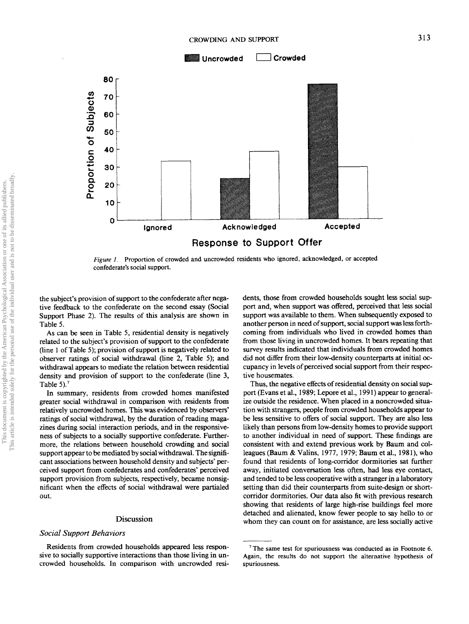

*Figure 1.* Proportion of crowded and uncrowded residents who ignored, acknowledged, or accepted confederate's social support.

the subject's provision of support to the confederate after negative feedback to the confederate on the second essay (Social Support Phase 2). The results of this analysis are shown in Table 5.

As can be seen in Table 5, residential density is negatively related to the subject's provision of support to the confederate (line 1 of Table 5); provision of support is negatively related to observer ratings of social withdrawal (line 2, Table 5); and withdrawal appears to mediate the relation between residential density and provision of support to the confederate (line 3, Table 5). $<sup>7</sup>$ </sup>

In summary, residents from crowded homes manifested greater social withdrawal in comparison with residents from relatively uncrowded homes. This was evidenced by observers' ratings of social withdrawal, by the duration of reading magazines during social interaction periods, and in the responsiveness of subjects to a socially supportive confederate. Furthermore, the relations between household crowding and social support appear to be mediated by social withdrawal. The significant associations between household density and subjects' perceived support from confederates and confederates' perceived support provision from subjects, respectively, became nonsignificant when the effects of social withdrawal were partialed out.

#### Discussion

# *Social Support Behaviors*

Residents from crowded households appeared less responsive to socially supportive interactions than those living in uncrowded households. In comparison with uncrowded residents, those from crowded households sought less social support and, when support was offered, perceived that less social support was available to them. When subsequently exposed to another person in need of support, social support was less forthcoming from individuals who lived in crowded homes than from those living in uncrowded homes. It bears repeating that survey results indicated that individuals from crowded homes did not differ from their low-density counterparts at initial occupancy in levels of perceived social support from their respective housemates.

Thus, the negative effects of residential density on social support (Evans et al., 1989; Lepore et al., 1991) appear to generalize outside the residence. When placed in a noncrowded situation with strangers, people from crowded households appear to be less sensitive to offers of social support. They are also less likely than persons from low-density homes to provide support to another individual in need of support. These findings are consistent with and extend previous work by Baum and colleagues (Baum & Valins, 1977, 1979; Baum et al., 1981), who found that residents of long-corridor dormitories sat further away, initiated conversation less often, had less eye contact, and tended to be less cooperative with a stranger in a laboratory setting than did their counterparts from suite-design or shortcorridor dormitories. Our data also fit with previous research showing that residents of large high-rise buildings feel more detached and alienated, know fewer people to say hello to or whom they can count on for assistance, are less socially active

 $7$  The same test for spuriousness was conducted as in Footnote 6. Again, the results do not support the alternative hypothesis of spuriousness.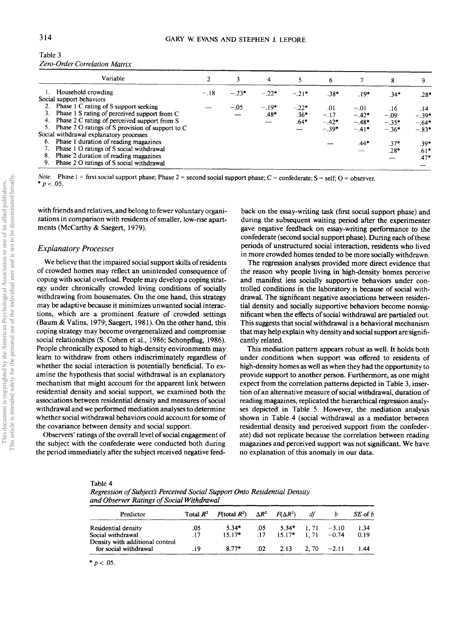|    | Variable                                         |        |         | 4       |         | 6       |         | 8       | 9       |
|----|--------------------------------------------------|--------|---------|---------|---------|---------|---------|---------|---------|
|    | Household crowding                               | $-.18$ | $-.23*$ | $-.22*$ | $-21*$  | $.38*$  | $.19*$  | $.34*$  | $.28*$  |
|    | Social support behaviors                         |        |         |         |         |         |         |         |         |
|    | 2. Phase 1 C rating of S support seeking         |        | $-.05$  | $-.19*$ | $-.22*$ | .01     | $-.01$  | .16     | .14     |
|    | 3. Phase 1 S rating of perceived support from C  |        |         | $.48*$  | $.36*$  | $-.17$  | $-.42*$ | $-.09$  | $-.39*$ |
|    | 4. Phase 2 C rating of perceived support from S  |        |         |         | $.64*$  | $-.42*$ | $-.48*$ | $-.35*$ | $-.64*$ |
| 5. | Phase 2 O ratings of S provision of support to C |        |         |         |         | $-39*$  | $-.41*$ | $-.36*$ | $-.83*$ |
|    | Social withdrawal explanatory processes          |        |         |         |         |         |         |         |         |
|    | 6. Phase 1 duration of reading magazines         |        |         |         |         |         | .44*    | $.37*$  | $.39*$  |
|    | Phase 1 O ratings of S social withdrawal         |        |         |         |         |         |         | .28*    | $.61*$  |
| 8. | Phase 2 duration of reading magazines            |        |         |         |         |         |         |         | $.47*$  |
|    | 9. Phase 2 O ratings of S social withdrawal      |        |         |         |         |         |         |         |         |

Table 3 *Zero-Order Correlation Matrix*

*Note.* Phase  $1 =$  first social support phase; Phase  $2 =$  second social support phase;  $C =$  confederate;  $S =$  self;  $O =$  observer.  $* p < .05.$ 

with friends and relatives, and belong to fewer voluntary organizations in comparison with residents of smaller, low-rise apartments (McCarthy & Saegert, 1979).

# *Explanatory Processes*

We believe that the impaired social support skills of residents of crowded homes may reflect an unintended consequence of coping with social overload. People may develop a coping strategy under chronically crowded living conditions of socially withdrawing from housemates. On the one hand, this strategy may be adaptive because it minimizes unwanted social interactions, which are a prominent feature of crowded settings (Baum & Valins, 1979; Saegert, 1981). On the other hand, this coping strategy may become overgeneralized and compromise social relationships (S. Cohen et al., 1986; Schonpflug, 1986). People chronically exposed to high-density environments may learn to withdraw from others indiscriminately regardless of whether the social interaction is potentially beneficial. To examine the hypothesis that social withdrawal is an explanatory mechanism that might account for the apparent link between residential density and social support, we examined both the associations between residential density and measures of social withdrawal and we performed mediation analyses to determine whether social withdrawal behaviors could account for some of the covariance between density and social support.

Observers' ratings of the overall level of social engagement of the subject with the confederate were conducted both during the period immediately after the subject received negative feedback on the essay-writing task (first social support phase) and during the subsequent waiting period after the experimenter gave negative feedback on essay-writing performance to the confederate (second social support phase). During each of these periods of unstructured social interaction, residents who lived in more crowded homes tended to be more socially withdrawn.

The regression analyses provided more direct evidence that the reason why people living in high-density homes perceive and manifest less socially supportive behaviors under controlled conditions in the laboratory is because of social withdrawal. The significant negative associations between residential density and socially supportive behaviors become nonsignificant when the effects of social withdrawal are partialed out. This suggests that social withdrawal is a behavioral mechanism that may help explain why density and social support are significantly related.

This mediation pattern appears robust as well. It holds both under conditions when support was offered to residents of high-density homes as well as when they had the opportunity to provide support to another person. Furthermore, as one might expect from the correlation patterns depicted in Table 3, insertion of an alternative measure of social withdrawal, duration of reading magazines, replicated the hierarchical regression analyses depicted in Table 5. However, the mediation analysis shown in Table 4 (social withdrawal as a mediator between residential density and perceived support from the confederate) did not replicate because the correlation between reading magazines and perceived support was not significant. We have no explanation of this anomaly in our data.

#### Table 4

*Regression of Subjects Perceived Social Support Onto Residential Density and Observer Ratings of Social Withdrawal*

| Predictor                                                | Total $R^2$ | $F(\text{total } R^2)$ $\Delta R^2$ $F(\Delta R^2)$ |     |                                | df                    | $SE$ of $b$ |
|----------------------------------------------------------|-------------|-----------------------------------------------------|-----|--------------------------------|-----------------------|-------------|
| Residential density                                      | .05         | $5.34*$                                             | .05 |                                | $5.34*$ 1.71 $-3.10$  | 1.34        |
| Social withdrawal                                        | .17         | $15.17*$                                            |     | $.17 \t15.17^* \t1.71 \t-0.74$ |                       | 0.19        |
| Density with additional control<br>for social withdrawal | .19         | $8.77*$                                             | .02 |                                | $2.13$ $2.70$ $-2.11$ | 1.44        |

\*  $p < .05$ .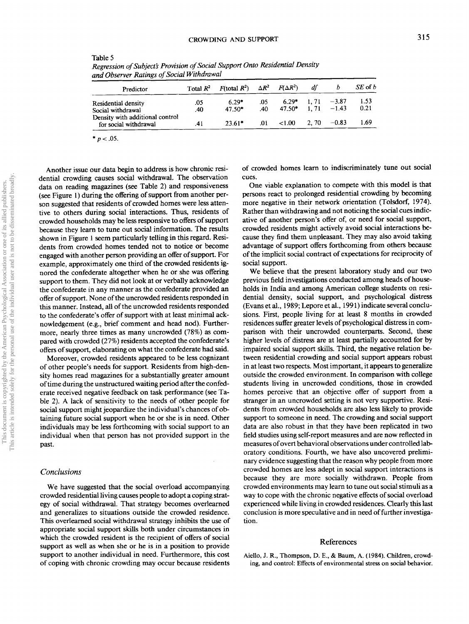| Predictor                                                | Total $R^2$ | $F(\text{total } R^2)$ $\Delta R^2$ $F(\Delta R^2)$ |            |                                  | df   |              | $SE$ of $b$  |
|----------------------------------------------------------|-------------|-----------------------------------------------------|------------|----------------------------------|------|--------------|--------------|
| Residential density<br>Social withdrawal                 | .05<br>.40  | $6.29*$<br>$47.50*$                                 | .05<br>.40 | $6.29*$<br>$47.50*$ 1.71 $-1.43$ |      | 1.71 $-3.87$ | 1.53<br>0.21 |
| Density with additional control<br>for social withdrawal | .41         | $23.61*$                                            | .01        | ${<}1.00$                        | 2.70 | $-0.83$      | 1.69         |

Table 5 *Regression of Subject's Provision of Social Support Onto Residential Density and Observer Ratings of Social Withdrawal*

 $* p < .05$ .

Another issue our data begin to address is how chronic residential crowding causes social withdrawal. The observation data on reading magazines (see Table 2) and responsiveness (see Figure 1) during the offering of support from another person suggested that residents of crowded homes were less attentive to others during social interactions. Thus, residents of crowded households may be less responsive to offers of support because they learn to tune out social information. The results shown in Figure 1 seem particularly telling in this regard. Residents from crowded homes tended not to notice or become engaged with another person providing an offer of support. For example, approximately one third of the crowded residents ignored the confederate altogether when he or she was offering support to them. They did not look at or verbally acknowledge the confederate in any manner as the confederate provided an offer of support. None of the uncrowded residents responded in this manner. Instead, all of the uncrowded residents responded to the confederate's offer of support with at least minimal acknowledgement (e.g., brief comment and head nod). Furthermore, nearly three times as many uncrowded (78%) as compared with crowded (27%) residents accepted the confederate's offers of support, elaborating on what the confederate had said.

Moreover, crowded residents appeared to be less cognizant of other people's needs for support. Residents from high-density homes read magazines for a substantially greater amount of time during the unstructured waiting period after the confederate received negative feedback on task performance (see Table 2). A lack of sensitivity to the needs of other people for social support might jeopardize the individual's chances of obtaining future social support when he or she is in need. Other individuals may be less forthcoming with social support to an individual when that person has not provided support in the past.

#### *Conclusions*

We have suggested that the social overload accompanying crowded residential living causes people to adopt a coping strategy of social withdrawal. That strategy becomes overlearned and generalizes to situations outside the crowded residence. This overlearned social withdrawal strategy inhibits the use of appropriate social support skills both under circumstances in which the crowded resident is the recipient of offers of social support as well as when she or he is in a position to provide support to another individual in need. Furthermore, this cost of coping with chronic crowding may occur because residents of crowded homes learn to indiscriminately tune out social cues.

One viable explanation to compete with this model is that persons react to prolonged residential crowding by becoming more negative in their network orientation (Tolsdorf, 1974). Rather than withdrawing and not noticing the social cues indicative of another person's offer of, or need for social support, crowded residents might actively avoid social interactions because they find them unpleasant. They may also avoid taking advantage of support offers forthcoming from others because of the implicit social contract of expectations for reciprocity of social support.

We believe that the present laboratory study and our two previous field investigations conducted among heads of households in India and among American college students on residential density, social support, and psychological distress (Evans et al., 1989; Lepore et al., 1991) indicate several conclusions. First, people living for at least 8 months in crowded residences suffer greater levels of psychological distress in comparison with their uncrowded counterparts. Second, these higher levels of distress are at least partially accounted for by impaired social support skills. Third, the negative relation between residential crowding and social support appears robust in at least two respects. Most important, it appears to generalize outside the crowded environment. In comparison with college students living in uncrowded conditions, those in crowded homes perceive that an objective offer of support from a stranger in an uncrowded setting is not very supportive. Residents from crowded households are also less likely to provide support to someone in need. The crowding and social support data are also robust in that they have been replicated in two field studies using self-report measures and are now reflected in measures of overt behavioral observations under controlled laboratory conditions. Fourth, we have also uncovered preliminary evidence suggesting that the reason why people from more crowded homes are less adept in social support interactions is because they are more socially withdrawn. People from crowded environments may learn to tune out social stimuli as a way to cope with the chronic negative effects of social overload experienced while living in crowded residences. Clearly this last conclusion is more speculative and in need of further investigation.

## References

Aiello, J. R., Thompson, D. E., & Baum, A. (1984). Children, crowding, and control: Effects of environmental stress on social behavior.